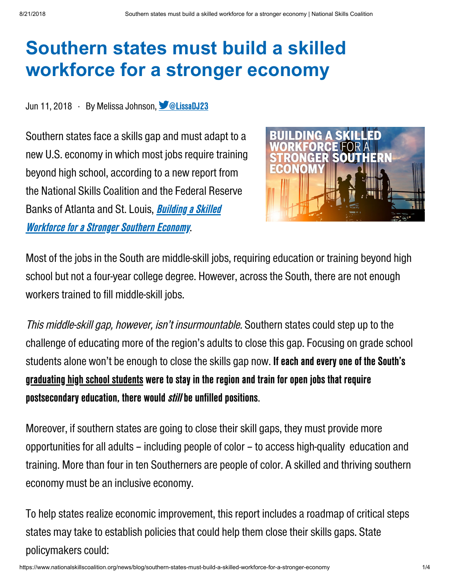## Southern states must build a skilled workforce for a stronger economy

## Jun 11, 2018 · By Melissa Johnson, **OLISSADJ23**

Southern states face a skills gap and must adapt to a new U.S. economy in which most jobs require training beyond high school, according to a new report from the National Skills Coalition and the Federal Reserve Banks of Atlanta and St. Louis, **Building a Skilled Workforce for a Stronger Southern Economy.** 



Most of the jobs in the South are middle-skill jobs, requiring education or training beyond high school but not a four-year college degree. However, across the South, there are not enough workers trained to fill middle-skill jobs.

This middle-skill gap, however, isn't insurmountable. Southern states could step up to the challenge of educating more of the region's adults to close this gap. Focusing on grade school students alone won't be enough to close the skills gap now. If each and every one of the South's graduating high school students were to stay in the region and train for open jobs that require postsecondary education, there would *still* be unfilled positions.

Moreover, if southern states are going to close their skill gaps, they must provide more opportunities for all adults – including people of color – to access high-quality education and training. More than four in ten Southerners are people of color. A skilled and thriving southern economy must be an inclusive economy.

To help states realize economic improvement, this report includes a roadmap of critical steps states may take to establish policies that could help them close their skills gaps. State policymakers could: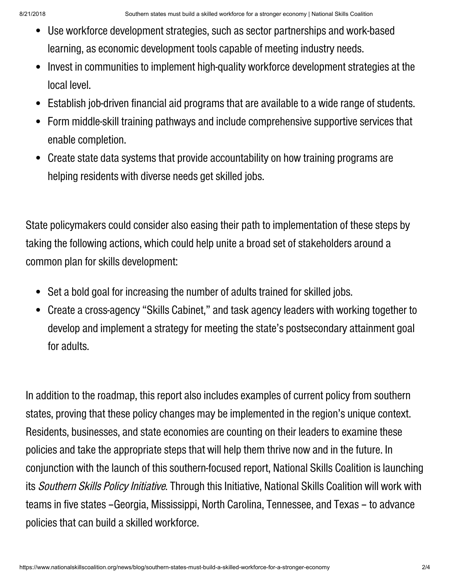- Use workforce development strategies, such as sector partnerships and work-based learning, as economic development tools capable of meeting industry needs.
- Invest in communities to implement high-quality workforce development strategies at the  $\bullet$ local level.
- Establish job-driven financial aid programs that are available to a wide range of students.  $\bullet$
- Form middle-skill training pathways and include comprehensive supportive services that enable completion.
- Create state data systems that provide accountability on how training programs are helping residents with diverse needs get skilled jobs.

State policymakers could consider also easing their path to implementation of these steps by taking the following actions, which could help unite a broad set of stakeholders around a common plan for skills development:

- Set a bold goal for increasing the number of adults trained for skilled jobs.
- Create a cross-agency "Skills Cabinet," and task agency leaders with working together to develop and implement a strategy for meeting the state's postsecondary attainment goal for adults.

In addition to the roadmap, this report also includes examples of current policy from southern states, proving that these policy changes may be implemented in the region's unique context. Residents, businesses, and state economies are counting on their leaders to examine these policies and take the appropriate steps that will help them thrive now and in the future. In conjunction with thelaunch of this southern-focused report, National Skills Coalition is launching its Southern Skills Policy Initiative. Through this Initiative, National Skills Coalition will work with teams in five states –Georgia, Mississippi, North Carolina, Tennessee, and Texas – to advance policies that can build a skilled workforce.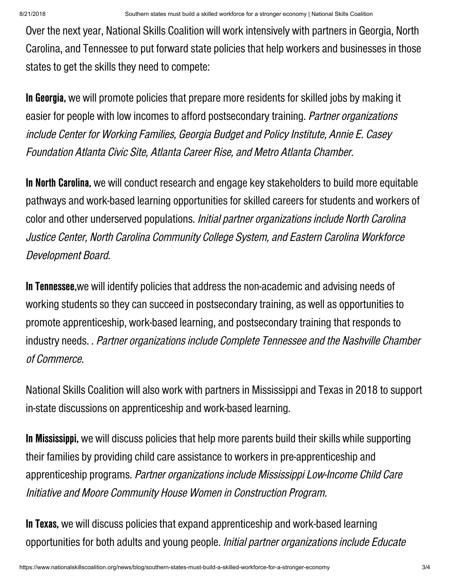Over the next year, National Skills Coalition will work intensively with partners in Georgia, North Carolina, and Tennesseeto put forward state policies that help workers and businesses in those states to get the skills they need to compete:

In Georgia, we will promote policies that prepare more residents for skilled jobs by making it easier for people with low incomes to afford postsecondary training. Partner organizations include Center for Working Families, Georgia Budget and Policy Institute, Annie E. Casey Foundation Atlanta Civic Site, Atlanta Career Rise, and Metro Atlanta Chamber.

In North Carolina, we will conduct research and engage key stakeholders to build more equitable pathways and work-based learning opportunities for skilled careers for students and workers of color and other underserved populations. Initial partner organizations include North Carolina Justice Center, North Carolina Community College System, and Eastern Carolina Workforce Development Board.

In Tennessee,we will identify policies that address the non-academic and advising needs of working students so they can succeed in postsecondary training, as well as opportunities to promote apprenticeship, work-based learning, and postsecondarytraining that responds to industry needs. . Partner organizations include Complete Tennessee and the Nashville Chamber of Commerce.

National Skills Coalition will also work with partners in Mississippi and Texas in 2018 to support in-state discussions on apprenticeship and work-based learning.

In Mississippi, we will discuss policies that help more parents build their skills while supporting their families by providing child care assistance to workers in pre-apprenticeship and apprenticeship programs. Partner organizations include Mississippi Low-Income Child Care Initiative and Moore Community House Women in Construction Program.

In Texas, we will discuss policies that expand apprenticeship and work-based learning opportunities for both adults and young people. Initial partner organizations include Educate